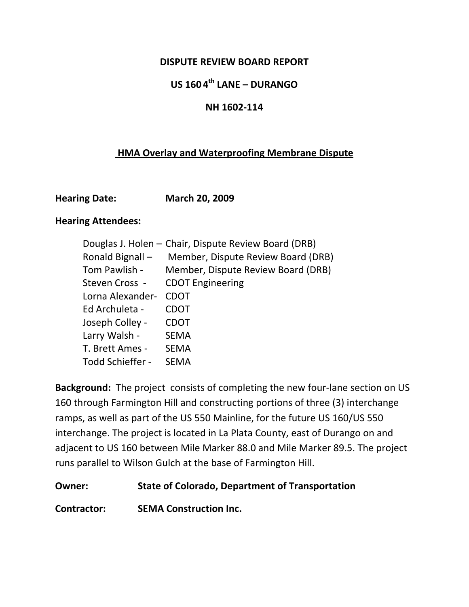#### **DISPUTE REVIEW BOARD REPORT**

## **US 160 4th LANE – DURANGO**

#### **NH 1602‐114**

## **HMA Overlay and Waterproofing Membrane Dispute**

| <b>Hearing Date:</b> | <b>March 20, 2009</b> |
|----------------------|-----------------------|
|                      |                       |

#### **Hearing Attendees:**

| Douglas J. Holen - Chair, Dispute Review Board (DRB) |                                                  |
|------------------------------------------------------|--------------------------------------------------|
| Ronald Bignall –                                     | Member, Dispute Review Board (DRB)               |
|                                                      | Tom Pawlish - Member, Dispute Review Board (DRB) |
| Steven Cross -                                       | <b>CDOT Engineering</b>                          |
| Lorna Alexander-                                     | <b>CDOT</b>                                      |
| Ed Archuleta -                                       | <b>CDOT</b>                                      |
| Joseph Colley -                                      | <b>CDOT</b>                                      |
| Larry Walsh -                                        | <b>SEMA</b>                                      |
| T. Brett Ames -                                      | <b>SEMA</b>                                      |
| Todd Schieffer -                                     | <b>SEMA</b>                                      |

Background: The project consists of completing the new four-lane section on US 160 through Farmington Hill and constructing portions of three (3) interchange ramps, as well as part of the US 550 Mainline, for the future US 160/US 550 interchange. The project is located in La Plata County, east of Durango on and adjacent to US 160 between Mile Marker 88.0 and Mile Marker 89.5. The project runs parallel to Wilson Gulch at the base of Farmington Hill.

#### **Owner: State of Colorado, Department of Transportation**

**Contractor: SEMA Construction Inc.**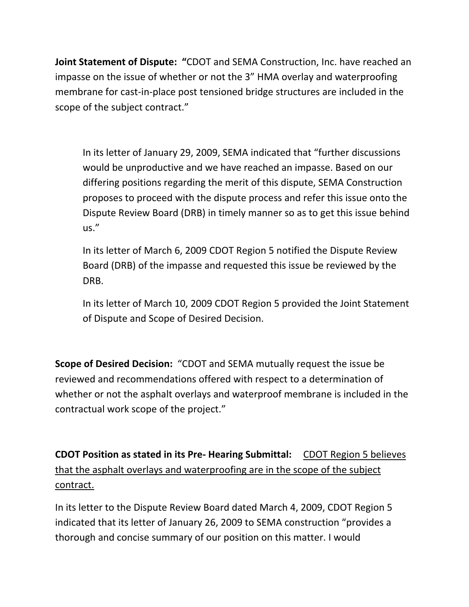**Joint Statement of Dispute: "**CDOT and SEMA Construction, Inc. have reached an impasse on the issue of whether or not the 3" HMA overlay and waterproofing membrane for cast‐in‐place post tensioned bridge structures are included in the scope of the subject contract."

In its letter of January 29, 2009, SEMA indicated that "further discussions would be unproductive and we have reached an impasse. Based on our differing positions regarding the merit of this dispute, SEMA Construction proposes to proceed with the dispute process and refer this issue onto the Dispute Review Board (DRB) in timely manner so as to get this issue behind us."

In its letter of March 6, 2009 CDOT Region 5 notified the Dispute Review Board (DRB) of the impasse and requested this issue be reviewed by the DRB.

In its letter of March 10, 2009 CDOT Region 5 provided the Joint Statement of Dispute and Scope of Desired Decision.

**Scope of Desired Decision:** "CDOT and SEMA mutually request the issue be reviewed and recommendations offered with respect to a determination of whether or not the asphalt overlays and waterproof membrane is included in the contractual work scope of the project."

**CDOT Position as stated in its Pre‐ Hearing Submittal:** CDOT Region 5 believes that the asphalt overlays and waterproofing are in the scope of the subject contract.

In its letter to the Dispute Review Board dated March 4, 2009, CDOT Region 5 indicated that its letter of January 26, 2009 to SEMA construction "provides a thorough and concise summary of our position on this matter. I would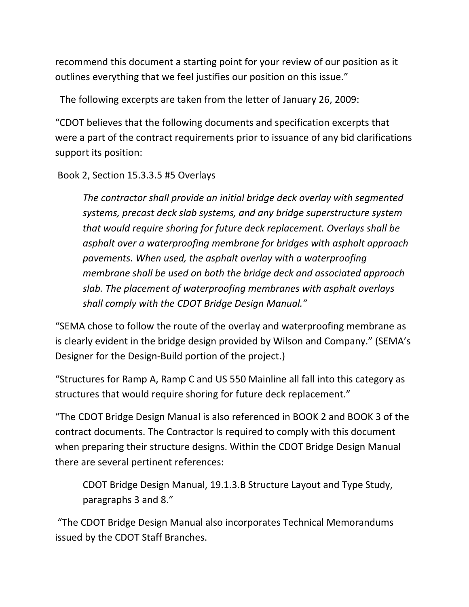recommend this document a starting point for your review of our position as it outlines everything that we feel justifies our position on this issue."

The following excerpts are taken from the letter of January 26, 2009:

"CDOT believes that the following documents and specification excerpts that were a part of the contract requirements prior to issuance of any bid clarifications support its position:

Book 2, Section 15.3.3.5 #5 Overlays

*The contractor shall provide an initial bridge deck overlay with segmented systems, precast deck slab systems, and any bridge superstructure system that would require shoring for future deck replacement. Overlays shall be asphalt over a waterproofing membrane for bridges with asphalt approach pavements. When used, the asphalt overlay with a waterproofing membrane shall be used on both the bridge deck and associated approach slab. The placement of waterproofing membranes with asphalt overlays shall comply with the CDOT Bridge Design Manual."*

"SEMA chose to follow the route of the overlay and waterproofing membrane as is clearly evident in the bridge design provided by Wilson and Company." (SEMA's Designer for the Design‐Build portion of the project.)

"Structures for Ramp A, Ramp C and US 550 Mainline all fall into this category as structures that would require shoring for future deck replacement."

"The CDOT Bridge Design Manual is also referenced in BOOK 2 and BOOK 3 of the contract documents. The Contractor Is required to comply with this document when preparing their structure designs. Within the CDOT Bridge Design Manual there are several pertinent references:

CDOT Bridge Design Manual, 19.1.3.B Structure Layout and Type Study, paragraphs 3 and 8."

"The CDOT Bridge Design Manual also incorporates Technical Memorandums issued by the CDOT Staff Branches.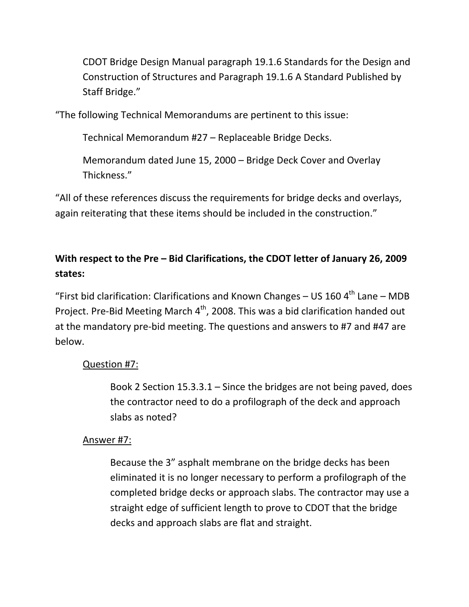CDOT Bridge Design Manual paragraph 19.1.6 Standards for the Design and Construction of Structures and Paragraph 19.1.6 A Standard Published by Staff Bridge."

"The following Technical Memorandums are pertinent to this issue:

Technical Memorandum #27 – Replaceable Bridge Decks.

Memorandum dated June 15, 2000 – Bridge Deck Cover and Overlay Thickness."

"All of these references discuss the requirements for bridge decks and overlays, again reiterating that these items should be included in the construction."

## **With respect to the Pre – Bid Clarifications, the CDOT letter of January 26, 2009 states:**

"First bid clarification: Clarifications and Known Changes – US 160  $4<sup>th</sup>$  Lane – MDB Project. Pre-Bid Meeting March 4<sup>th</sup>, 2008. This was a bid clarification handed out at the mandatory pre‐bid meeting. The questions and answers to #7 and #47 are below.

### Question #7:

Book 2 Section 15.3.3.1 – Since the bridges are not being paved, does the contractor need to do a profilograph of the deck and approach slabs as noted?

#### Answer #7:

Because the 3" asphalt membrane on the bridge decks has been eliminated it is no longer necessary to perform a profilograph of the completed bridge decks or approach slabs. The contractor may use a straight edge of sufficient length to prove to CDOT that the bridge decks and approach slabs are flat and straight.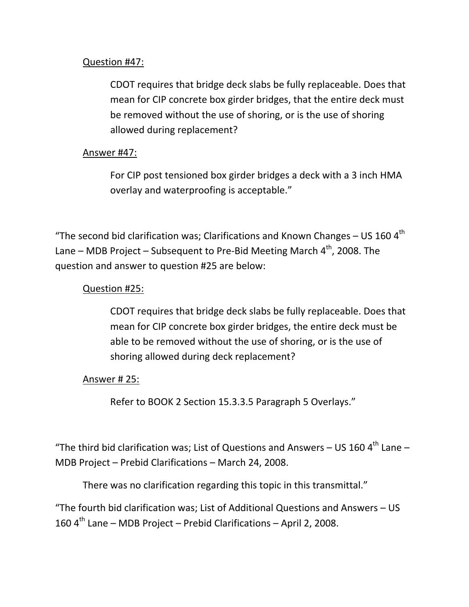### Question #47:

CDOT requires that bridge deck slabs be fully replaceable. Does that mean for CIP concrete box girder bridges, that the entire deck must be removed without the use of shoring, or is the use of shoring allowed during replacement?

### Answer #47:

For CIP post tensioned box girder bridges a deck with a 3 inch HMA overlay and waterproofing is acceptable."

"The second bid clarification was; Clarifications and Known Changes – US 160  $4<sup>th</sup>$ Lane – MDB Project – Subsequent to Pre-Bid Meeting March  $4^{\text{th}}$ , 2008. The question and answer to question #25 are below:

### Question #25:

CDOT requires that bridge deck slabs be fully replaceable. Does that mean for CIP concrete box girder bridges, the entire deck must be able to be removed without the use of shoring, or is the use of shoring allowed during deck replacement?

#### Answer # 25:

Refer to BOOK 2 Section 15.3.3.5 Paragraph 5 Overlays."

"The third bid clarification was; List of Questions and Answers - US 160  $4^{\text{th}}$  Lane -MDB Project – Prebid Clarifications – March 24, 2008.

There was no clarification regarding this topic in this transmittal."

"The fourth bid clarification was; List of Additional Questions and Answers – US 160  $4<sup>th</sup>$  Lane – MDB Project – Prebid Clarifications – April 2, 2008.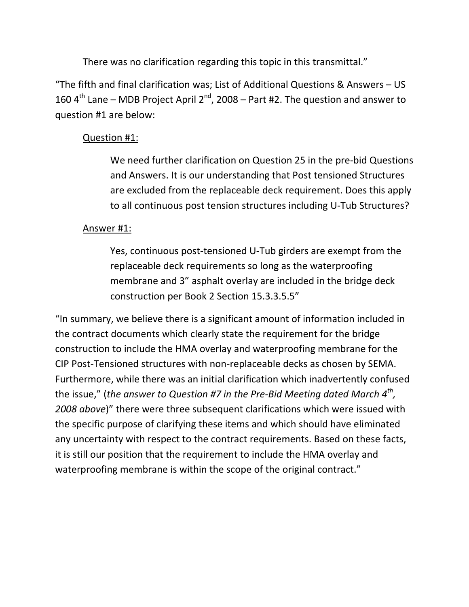There was no clarification regarding this topic in this transmittal."

"The fifth and final clarification was; List of Additional Questions & Answers – US 160  $4^{\text{th}}$  Lane – MDB Project April 2<sup>nd</sup>, 2008 – Part #2. The question and answer to question #1 are below:

### Question #1:

We need further clarification on Question 25 in the pre-bid Questions and Answers. It is our understanding that Post tensioned Structures are excluded from the replaceable deck requirement. Does this apply to all continuous post tension structures including U‐Tub Structures?

### Answer #1:

Yes, continuous post‐tensioned U‐Tub girders are exempt from the replaceable deck requirements so long as the waterproofing membrane and 3" asphalt overlay are included in the bridge deck construction per Book 2 Section 15.3.3.5.5"

"In summary, we believe there is a significant amount of information included in the contract documents which clearly state the requirement for the bridge construction to include the HMA overlay and waterproofing membrane for the CIP Post‐Tensioned structures with non‐replaceable decks as chosen by SEMA. Furthermore, while there was an initial clarification which inadvertently confused the issue," (*the answer to Question #7 in the Pre‐Bid Meeting dated March 4th, 2008 above*)" there were three subsequent clarifications which were issued with the specific purpose of clarifying these items and which should have eliminated any uncertainty with respect to the contract requirements. Based on these facts, it is still our position that the requirement to include the HMA overlay and waterproofing membrane is within the scope of the original contract."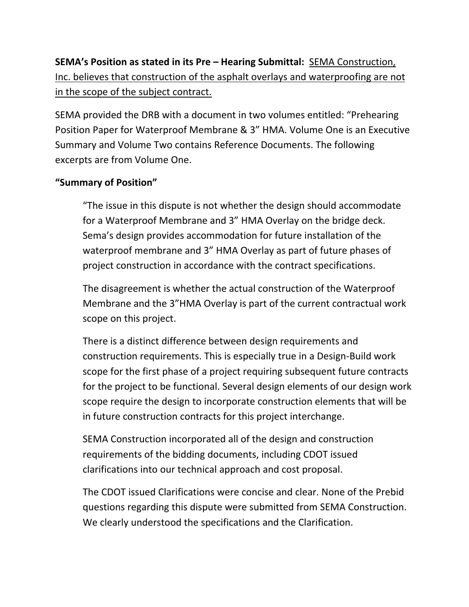# **SEMA's Position as stated in its Pre – Hearing Submittal:** SEMA Construction, Inc. believes that construction of the asphalt overlays and waterproofing are not in the scope of the subject contract.

SEMA provided the DRB with a document in two volumes entitled: "Prehearing Position Paper for Waterproof Membrane & 3" HMA. Volume One is an Executive Summary and Volume Two contains Reference Documents. The following excerpts are from Volume One.

## **"Summary of Position"**

"The issue in this dispute is not whether the design should accommodate for a Waterproof Membrane and 3" HMA Overlay on the bridge deck. Sema's design provides accommodation for future installation of the waterproof membrane and 3" HMA Overlay as part of future phases of project construction in accordance with the contract specifications.

The disagreement is whether the actual construction of the Waterproof Membrane and the 3"HMA Overlay is part of the current contractual work scope on this project.

There is a distinct difference between design requirements and construction requirements. This is especially true in a Design‐Build work scope for the first phase of a project requiring subsequent future contracts for the project to be functional. Several design elements of our design work scope require the design to incorporate construction elements that will be in future construction contracts for this project interchange.

SEMA Construction incorporated all of the design and construction requirements of the bidding documents, including CDOT issued clarifications into our technical approach and cost proposal.

The CDOT issued Clarifications were concise and clear. None of the Prebid questions regarding this dispute were submitted from SEMA Construction. We clearly understood the specifications and the Clarification.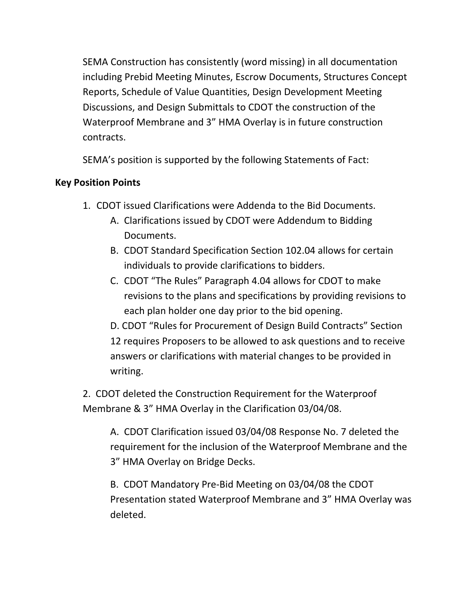SEMA Construction has consistently (word missing) in all documentation including Prebid Meeting Minutes, Escrow Documents, Structures Concept Reports, Schedule of Value Quantities, Design Development Meeting Discussions, and Design Submittals to CDOT the construction of the Waterproof Membrane and 3" HMA Overlay is in future construction contracts.

SEMA's position is supported by the following Statements of Fact:

## **Key Position Points**

- 1. CDOT issued Clarifications were Addenda to the Bid Documents.
	- A. Clarifications issued by CDOT were Addendum to Bidding Documents.
	- B. CDOT Standard Specification Section 102.04 allows for certain individuals to provide clarifications to bidders.
	- C. CDOT "The Rules" Paragraph 4.04 allows for CDOT to make revisions to the plans and specifications by providing revisions to each plan holder one day prior to the bid opening.
	- D. CDOT "Rules for Procurement of Design Build Contracts" Section 12 requires Proposers to be allowed to ask questions and to receive answers or clarifications with material changes to be provided in writing.
- 2. CDOT deleted the Construction Requirement for the Waterproof Membrane & 3" HMA Overlay in the Clarification 03/04/08.

A. CDOT Clarification issued 03/04/08 Response No. 7 deleted the requirement for the inclusion of the Waterproof Membrane and the 3" HMA Overlay on Bridge Decks.

B. CDOT Mandatory Pre‐Bid Meeting on 03/04/08 the CDOT Presentation stated Waterproof Membrane and 3" HMA Overlay was deleted.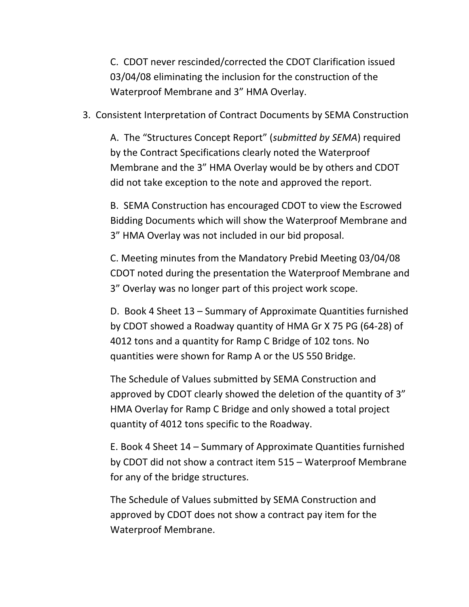C. CDOT never rescinded/corrected the CDOT Clarification issued 03/04/08 eliminating the inclusion for the construction of the Waterproof Membrane and 3" HMA Overlay.

3. Consistent Interpretation of Contract Documents by SEMA Construction

A. The "Structures Concept Report" (*submitted by SEMA*) required by the Contract Specifications clearly noted the Waterproof Membrane and the 3" HMA Overlay would be by others and CDOT did not take exception to the note and approved the report.

B. SEMA Construction has encouraged CDOT to view the Escrowed Bidding Documents which will show the Waterproof Membrane and 3" HMA Overlay was not included in our bid proposal.

C. Meeting minutes from the Mandatory Prebid Meeting 03/04/08 CDOT noted during the presentation the Waterproof Membrane and 3" Overlay was no longer part of this project work scope.

D. Book 4 Sheet 13 – Summary of Approximate Quantities furnished by CDOT showed a Roadway quantity of HMA Gr X 75 PG (64‐28) of 4012 tons and a quantity for Ramp C Bridge of 102 tons. No quantities were shown for Ramp A or the US 550 Bridge.

The Schedule of Values submitted by SEMA Construction and approved by CDOT clearly showed the deletion of the quantity of 3" HMA Overlay for Ramp C Bridge and only showed a total project quantity of 4012 tons specific to the Roadway.

E. Book 4 Sheet 14 – Summary of Approximate Quantities furnished by CDOT did not show a contract item 515 – Waterproof Membrane for any of the bridge structures.

The Schedule of Values submitted by SEMA Construction and approved by CDOT does not show a contract pay item for the Waterproof Membrane.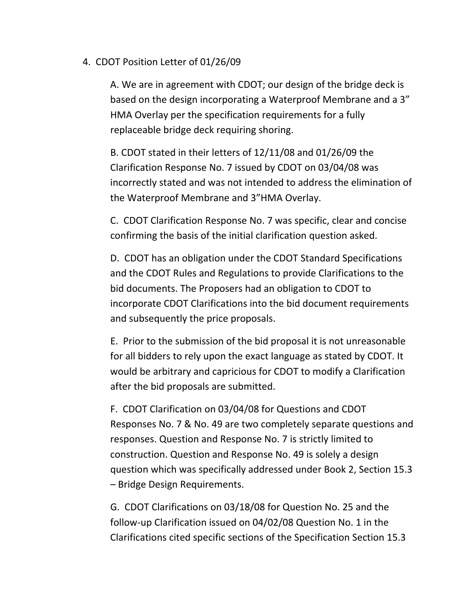### 4. CDOT Position Letter of 01/26/09

A. We are in agreement with CDOT; our design of the bridge deck is based on the design incorporating a Waterproof Membrane and a 3" HMA Overlay per the specification requirements for a fully replaceable bridge deck requiring shoring.

B. CDOT stated in their letters of 12/11/08 and 01/26/09 the Clarification Response No. 7 issued by CDOT on 03/04/08 was incorrectly stated and was not intended to address the elimination of the Waterproof Membrane and 3"HMA Overlay.

C. CDOT Clarification Response No. 7 was specific, clear and concise confirming the basis of the initial clarification question asked.

D. CDOT has an obligation under the CDOT Standard Specifications and the CDOT Rules and Regulations to provide Clarifications to the bid documents. The Proposers had an obligation to CDOT to incorporate CDOT Clarifications into the bid document requirements and subsequently the price proposals.

E. Prior to the submission of the bid proposal it is not unreasonable for all bidders to rely upon the exact language as stated by CDOT. It would be arbitrary and capricious for CDOT to modify a Clarification after the bid proposals are submitted.

F. CDOT Clarification on 03/04/08 for Questions and CDOT Responses No. 7 & No. 49 are two completely separate questions and responses. Question and Response No. 7 is strictly limited to construction. Question and Response No. 49 is solely a design question which was specifically addressed under Book 2, Section 15.3 – Bridge Design Requirements.

G. CDOT Clarifications on 03/18/08 for Question No. 25 and the follow‐up Clarification issued on 04/02/08 Question No. 1 in the Clarifications cited specific sections of the Specification Section 15.3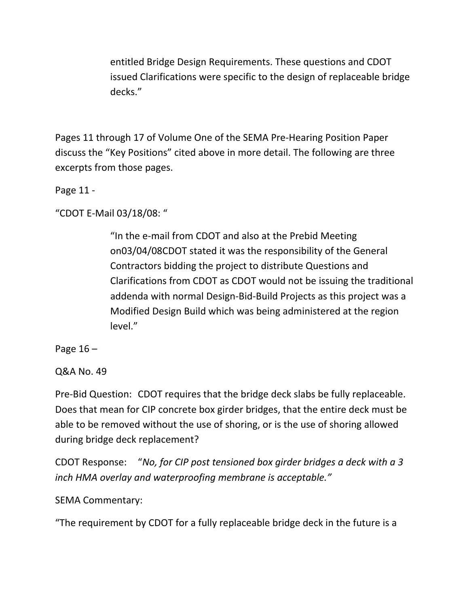entitled Bridge Design Requirements. These questions and CDOT issued Clarifications were specific to the design of replaceable bridge decks."

Pages 11 through 17 of Volume One of the SEMA Pre‐Hearing Position Paper discuss the "Key Positions" cited above in more detail. The following are three excerpts from those pages.

Page 11 ‐

"CDOT E‐Mail 03/18/08: "

"In the e‐mail from CDOT and also at the Prebid Meeting on03/04/08CDOT stated it was the responsibility of the General Contractors bidding the project to distribute Questions and Clarifications from CDOT as CDOT would not be issuing the traditional addenda with normal Design‐Bid‐Build Projects as this project was a Modified Design Build which was being administered at the region level."

Page 16 –

Q&A No. 49

Pre‐Bid Question: CDOT requires that the bridge deck slabs be fully replaceable. Does that mean for CIP concrete box girder bridges, that the entire deck must be able to be removed without the use of shoring, or is the use of shoring allowed during bridge deck replacement?

CDOT Response: "*No, for CIP post tensioned box girder bridges a deck with a 3 inch HMA overlay and waterproofing membrane is acceptable."*

SEMA Commentary:

"The requirement by CDOT for a fully replaceable bridge deck in the future is a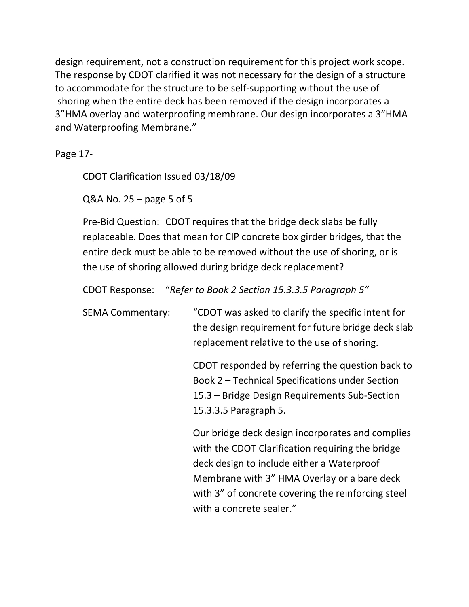design requirement, not a construction requirement for this project work scope. The response by CDOT clarified it was not necessary for the design of a structure to accommodate for the structure to be self‐supporting without the use of shoring when the entire deck has been removed if the design incorporates a 3"HMA overlay and waterproofing membrane. Our design incorporates a 3"HMA and Waterproofing Membrane."

Page 17‐

CDOT Clarification Issued 03/18/09

Q&A No.  $25 -$  page 5 of 5

Pre‐Bid Question: CDOT requires that the bridge deck slabs be fully replaceable. Does that mean for CIP concrete box girder bridges, that the entire deck must be able to be removed without the use of shoring, or is the use of shoring allowed during bridge deck replacement?

CDOT Response: "*Refer to Book 2 Section 15.3.3.5 Paragraph 5"*

SEMA Commentary: "CDOT was asked to clarify the specific intent for the design requirement for future bridge deck slab replacement relative to the use of shoring.

> CDOT responded by referring the question back to Book 2 – Technical Specifications under Section 15.3 – Bridge Design Requirements Sub‐Section 15.3.3.5 Paragraph 5.

> Our bridge deck design incorporates and complies with the CDOT Clarification requiring the bridge deck design to include either a Waterproof Membrane with 3" HMA Overlay or a bare deck with 3" of concrete covering the reinforcing steel with a concrete sealer."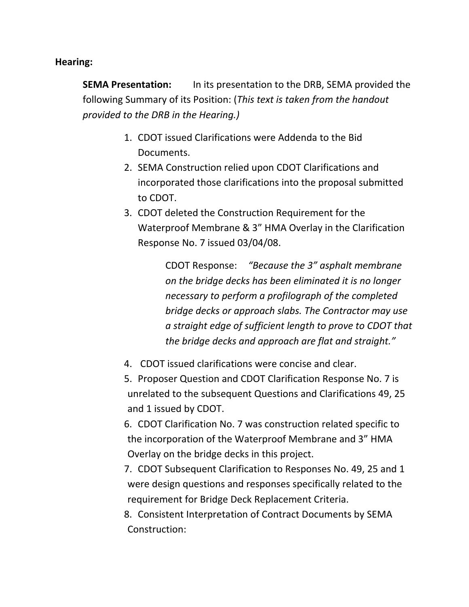#### **Hearing:**

**SEMA Presentation:** In its presentation to the DRB, SEMA provided the following Summary of its Position: (*This text is taken from the handout provided to the DRB in the Hearing.)*

- 1. CDOT issued Clarifications were Addenda to the Bid Documents.
- 2. SEMA Construction relied upon CDOT Clarifications and incorporated those clarifications into the proposal submitted to CDOT.
- 3. CDOT deleted the Construction Requirement for the Waterproof Membrane & 3" HMA Overlay in the Clarification Response No. 7 issued 03/04/08.

CDOT Response: *"Because the 3" asphalt membrane on the bridge decks has been eliminated it is no longer necessary to perform a profilograph of the completed bridge decks or approach slabs. The Contractor may use a straight edge of sufficient length to prove to CDOT that the bridge decks and approach are flat and straight."*

- 4. CDOT issued clarifications were concise and clear.
- 5. Proposer Question and CDOT Clarification Response No. 7 is unrelated to the subsequent Questions and Clarifications 49, 25 and 1 issued by CDOT.

6. CDOT Clarification No. 7 was construction related specific to the incorporation of the Waterproof Membrane and 3" HMA Overlay on the bridge decks in this project.

7. CDOT Subsequent Clarification to Responses No. 49, 25 and 1 were design questions and responses specifically related to the requirement for Bridge Deck Replacement Criteria.

8. Consistent Interpretation of Contract Documents by SEMA Construction: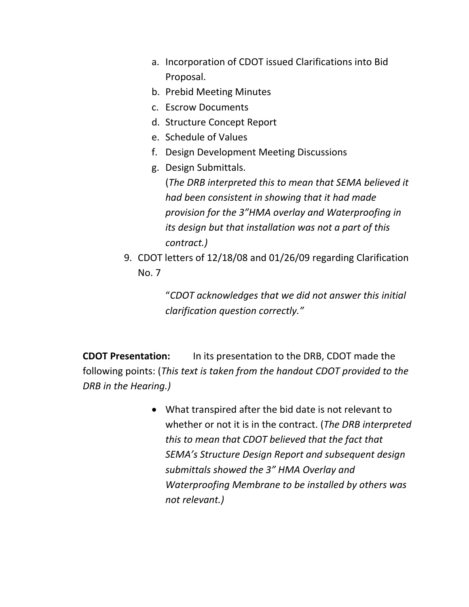- a. Incorporation of CDOT issued Clarifications into Bid Proposal.
- b. Prebid Meeting Minutes
- c. Escrow Documents
- d. Structure Concept Report
- e. Schedule of Values
- f. Design Development Meeting Discussions
- g. Design Submittals.

(*The DRB interpreted this to mean that SEMA believed it had been consistent in showing that it had made provision for the 3"HMA overlay and Waterproofing in its design but that installation was not a part of this contract.)* 

9. CDOT letters of 12/18/08 and 01/26/09 regarding Clarification No. 7

> "*CDOT acknowledges that we did not answer this initial clarification question correctly."*

**CDOT Presentation:** In its presentation to the DRB, CDOT made the following points: (*This text is taken from the handout CDOT provided to the DRB in the Hearing.)*

> • What transpired after the bid date is not relevant to whether or not it is in the contract. (*The DRB interpreted this to mean that CDOT believed that the fact that SEMA's Structure Design Report and subsequent design submittals showed the 3" HMA Overlay and Waterproofing Membrane to be installed by others was not relevant.)*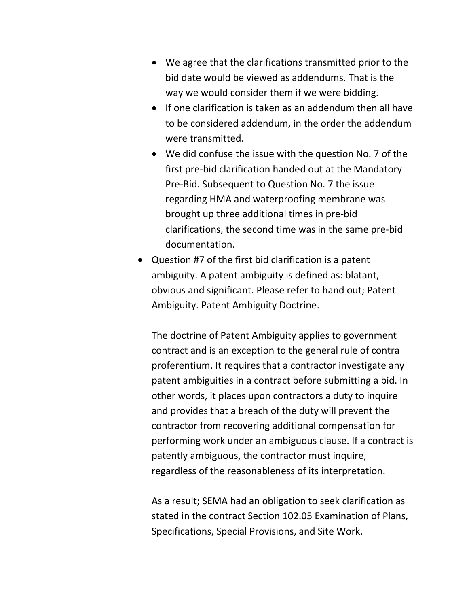- We agree that the clarifications transmitted prior to the bid date would be viewed as addendums. That is the way we would consider them if we were bidding.
- If one clarification is taken as an addendum then all have to be considered addendum, in the order the addendum were transmitted.
- We did confuse the issue with the question No. 7 of the first pre‐bid clarification handed out at the Mandatory Pre‐Bid. Subsequent to Question No. 7 the issue regarding HMA and waterproofing membrane was brought up three additional times in pre‐bid clarifications, the second time was in the same pre‐bid documentation.
- Question #7 of the first bid clarification is a patent ambiguity. A patent ambiguity is defined as: blatant, obvious and significant. Please refer to hand out; Patent Ambiguity. Patent Ambiguity Doctrine.

The doctrine of Patent Ambiguity applies to government contract and is an exception to the general rule of contra proferentium. It requires that a contractor investigate any patent ambiguities in a contract before submitting a bid. In other words, it places upon contractors a duty to inquire and provides that a breach of the duty will prevent the contractor from recovering additional compensation for performing work under an ambiguous clause. If a contract is patently ambiguous, the contractor must inquire, regardless of the reasonableness of its interpretation.

As a result; SEMA had an obligation to seek clarification as stated in the contract Section 102.05 Examination of Plans, Specifications, Special Provisions, and Site Work.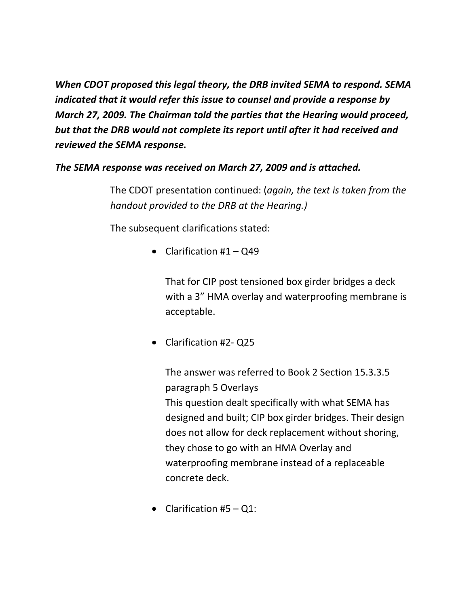*When CDOT proposed this legal theory, the DRB invited SEMA to respond. SEMA indicated that it would refer this issue to counsel and provide a response by March 27, 2009. The Chairman told the parties that the Hearing would proceed, but that the DRB would not complete its report until after it had received and reviewed the SEMA response.*

#### *The SEMA response was received on March 27, 2009 and is attached.*

The CDOT presentation continued: (*again, the text is taken from the handout provided to the DRB at the Hearing.)*

The subsequent clarifications stated:

• Clarification  $#1 - Q49$ 

That for CIP post tensioned box girder bridges a deck with a 3" HMA overlay and waterproofing membrane is acceptable.

• Clarification #2‐ Q25

The answer was referred to Book 2 Section 15.3.3.5 paragraph 5 Overlays This question dealt specifically with what SEMA has designed and built; CIP box girder bridges. Their design does not allow for deck replacement without shoring, they chose to go with an HMA Overlay and waterproofing membrane instead of a replaceable concrete deck.

• Clarification  $#5 - Q1$ :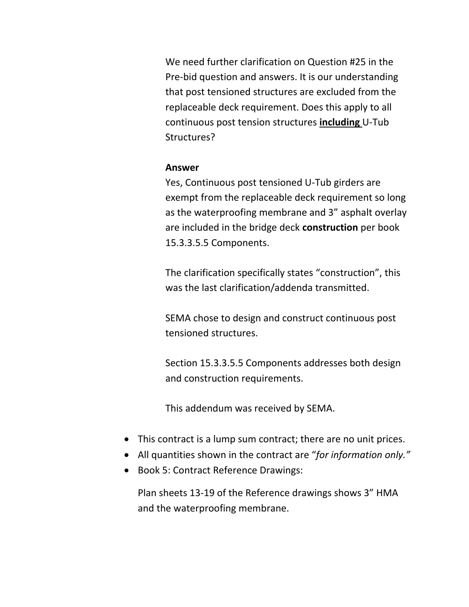We need further clarification on Question #25 in the Pre‐bid question and answers. It is our understanding that post tensioned structures are excluded from the replaceable deck requirement. Does this apply to all continuous post tension structures **including** U‐Tub Structures?

#### **Answer**

Yes, Continuous post tensioned U‐Tub girders are exempt from the replaceable deck requirement so long as the waterproofing membrane and 3" asphalt overlay are included in the bridge deck **construction** per book 15.3.3.5.5 Components.

The clarification specifically states "construction", this was the last clarification/addenda transmitted.

SEMA chose to design and construct continuous post tensioned structures.

Section 15.3.3.5.5 Components addresses both design and construction requirements.

This addendum was received by SEMA.

- This contract is a lump sum contract; there are no unit prices.
- All quantities shown in the contract are "*for information only."*
- Book 5: Contract Reference Drawings:

Plan sheets 13‐19 of the Reference drawings shows 3" HMA and the waterproofing membrane.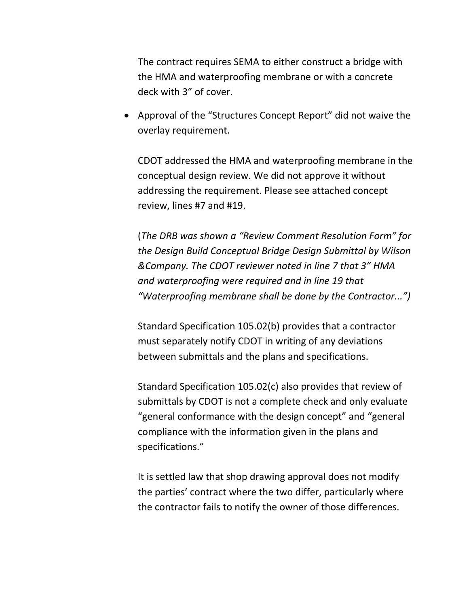The contract requires SEMA to either construct a bridge with the HMA and waterproofing membrane or with a concrete deck with 3" of cover.

• Approval of the "Structures Concept Report" did not waive the overlay requirement.

CDOT addressed the HMA and waterproofing membrane in the conceptual design review. We did not approve it without addressing the requirement. Please see attached concept review, lines #7 and #19.

(*The DRB was shown a "Review Comment Resolution Form" for the Design Build Conceptual Bridge Design Submittal by Wilson &Company. The CDOT reviewer noted in line 7 that 3" HMA and waterproofing were required and in line 19 that "Waterproofing membrane shall be done by the Contractor...")*

Standard Specification 105.02(b) provides that a contractor must separately notify CDOT in writing of any deviations between submittals and the plans and specifications.

Standard Specification 105.02(c) also provides that review of submittals by CDOT is not a complete check and only evaluate "general conformance with the design concept" and "general compliance with the information given in the plans and specifications."

It is settled law that shop drawing approval does not modify the parties' contract where the two differ, particularly where the contractor fails to notify the owner of those differences.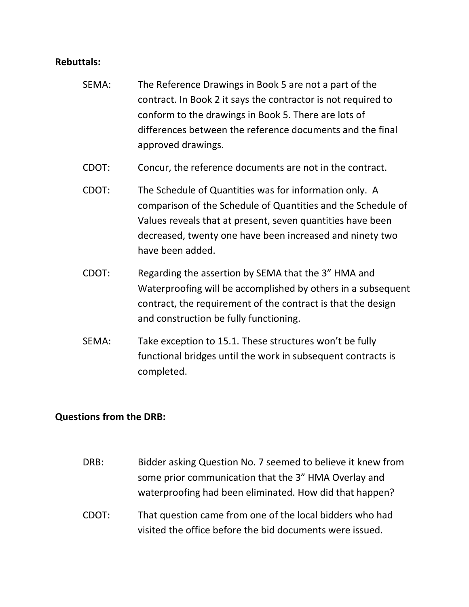#### **Rebuttals:**

- SEMA: The Reference Drawings in Book 5 are not a part of the contract. In Book 2 it says the contractor is not required to conform to the drawings in Book 5. There are lots of differences between the reference documents and the final approved drawings.
- CDOT: Concur, the reference documents are not in the contract.
- CDOT: The Schedule of Quantities was for information only. A comparison of the Schedule of Quantities and the Schedule of Values reveals that at present, seven quantities have been decreased, twenty one have been increased and ninety two have been added.
- CDOT: Regarding the assertion by SEMA that the 3" HMA and Waterproofing will be accomplished by others in a subsequent contract, the requirement of the contract is that the design and construction be fully functioning.
- SEMA: Take exception to 15.1. These structures won't be fully functional bridges until the work in subsequent contracts is completed.

#### **Questions from the DRB:**

DRB: Bidder asking Question No. 7 seemed to believe it knew from some prior communication that the 3" HMA Overlay and waterproofing had been eliminated. How did that happen? CDOT: That question came from one of the local bidders who had visited the office before the bid documents were issued.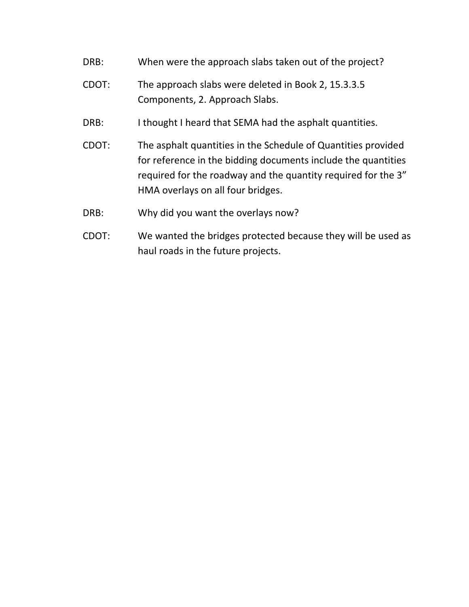- DRB: When were the approach slabs taken out of the project?
- CDOT: The approach slabs were deleted in Book 2, 15.3.3.5 Components, 2. Approach Slabs.
- DRB: I thought I heard that SEMA had the asphalt quantities.
- CDOT: The asphalt quantities in the Schedule of Quantities provided for reference in the bidding documents include the quantities required for the roadway and the quantity required for the 3" HMA overlays on all four bridges.
- DRB: Why did you want the overlays now?
- CDOT: We wanted the bridges protected because they will be used as haul roads in the future projects.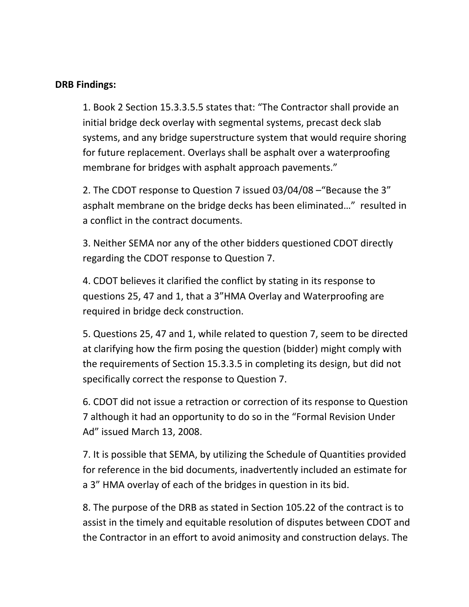#### **DRB Findings:**

1. Book 2 Section 15.3.3.5.5 states that: "The Contractor shall provide an initial bridge deck overlay with segmental systems, precast deck slab systems, and any bridge superstructure system that would require shoring for future replacement. Overlays shall be asphalt over a waterproofing membrane for bridges with asphalt approach pavements."

2. The CDOT response to Question 7 issued 03/04/08 –"Because the 3" asphalt membrane on the bridge decks has been eliminated…" resulted in a conflict in the contract documents.

3. Neither SEMA nor any of the other bidders questioned CDOT directly regarding the CDOT response to Question 7.

4. CDOT believes it clarified the conflict by stating in its response to questions 25, 47 and 1, that a 3"HMA Overlay and Waterproofing are required in bridge deck construction.

5. Questions 25, 47 and 1, while related to question 7, seem to be directed at clarifying how the firm posing the question (bidder) might comply with the requirements of Section 15.3.3.5 in completing its design, but did not specifically correct the response to Question 7.

6. CDOT did not issue a retraction or correction of its response to Question 7 although it had an opportunity to do so in the "Formal Revision Under Ad" issued March 13, 2008.

7. It is possible that SEMA, by utilizing the Schedule of Quantities provided for reference in the bid documents, inadvertently included an estimate for a 3" HMA overlay of each of the bridges in question in its bid.

8. The purpose of the DRB as stated in Section 105.22 of the contract is to assist in the timely and equitable resolution of disputes between CDOT and the Contractor in an effort to avoid animosity and construction delays. The